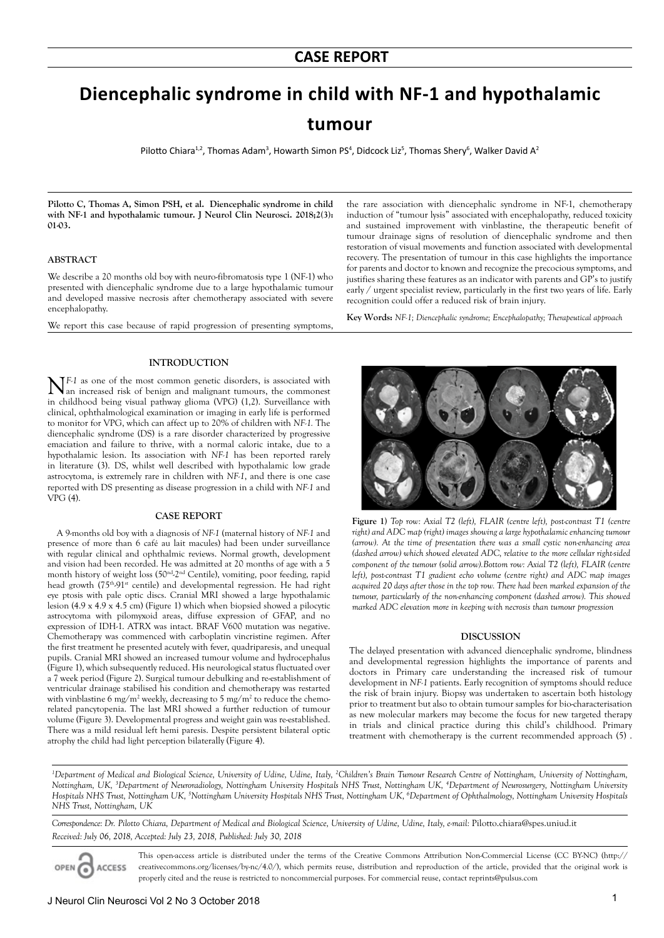# **Diencephalic syndrome in child with NF-1 and hypothalamic**

## **tumour**

Pilotto Chiara<sup>1,2</sup>, Thomas Adam<sup>3</sup>, Howarth Simon PS<sup>4</sup>, Didcock Liz<sup>5</sup>, Thomas Shery<sup>6</sup>, Walker David A<sup>2</sup>

**Pilotto C, Thomas A, Simon PSH, et al. Diencephalic syndrome in child**  with NF-1 and hypothalamic tumour. J Neurol Clin Neurosci. 2018;2(3): **01-03.**

#### **ABSTRACT**

We describe a 20 months old boy with neuro-fibromatosis type 1 (NF-1) who presented with diencephalic syndrome due to a large hypothalamic tumour and developed massive necrosis after chemotherapy associated with severe encephalopathy.

We report this case because of rapid progression of presenting symptoms,

#### **INTRODUCTION**

**N**F-1 as one of the most common genetic disorders, is associated with an increased risk of benign and malignant tumours, the commonest in childhood being visual pathway glioma (VPG) (1,2). Surveillance with clinical, ophthalmological examination or imaging in early life is performed to monitor for VPG, which can affect up to 20% of children with *NF-1.* The diencephalic syndrome (DS) is a rare disorder characterized by progressive emaciation and failure to thrive, with a normal caloric intake, due to a hypothalamic lesion. Its association with *NF-1* has been reported rarely in literature (3). DS, whilst well described with hypothalamic low grade astrocytoma, is extremely rare in children with *NF-1*, and there is one case reported with DS presenting as disease progression in a child with *NF-1* and VPG (4).

### **CASE REPORT**

A 9-months old boy with a diagnosis of *NF-1* (maternal history of *NF-1* and presence of more than 6 café au lait macules) had been under surveillance with regular clinical and ophthalmic reviews. Normal growth, development and vision had been recorded. He was admitted at 20 months of age with a 5 month history of weight loss (50<sup>nd</sup>-2<sup>nd</sup> Centile), vomiting, poor feeding, rapid head growth  $(75<sup>th</sup>·91<sup>st</sup>$  centile) and developmental regression. He had right eye ptosis with pale optic discs. Cranial MRI showed a large hypothalamic lesion (4.9 x 4.9 x 4.5 cm) (Figure 1) which when biopsied showed a pilocytic astrocytoma with pilomyxoid areas, diffuse expression of GFAP, and no expression of IDH-1. ATRX was intact. BRAF V600 mutation was negative. Chemotherapy was commenced with carboplatin vincristine regimen. After the first treatment he presented acutely with fever, quadriparesis, and unequal pupils. Cranial MRI showed an increased tumour volume and hydrocephalus (Figure 1), which subsequently reduced. His neurological status fluctuated over a 7 week period (Figure 2). Surgical tumour debulking and re-establishment of ventricular drainage stabilised his condition and chemotherapy was restarted with vinblastine 6 mg/m<sup>2</sup> weekly, decreasing to 5 mg/m<sup>2</sup> to reduce the chemorelated pancytopenia. The last MRI showed a further reduction of tumour volume (Figure 3). Developmental progress and weight gain was re-established. There was a mild residual left hemi paresis. Despite persistent bilateral optic atrophy the child had light perception bilaterally (Figure 4).

the rare association with diencephalic syndrome in NF-1, chemotherapy induction of "tumour lysis" associated with encephalopathy, reduced toxicity and sustained improvement with vinblastine, the therapeutic benefit of tumour drainage signs of resolution of diencephalic syndrome and then restoration of visual movements and function associated with developmental recovery. The presentation of tumour in this case highlights the importance for parents and doctor to known and recognize the precocious symptoms, and justifies sharing these features as an indicator with parents and GP's to justify early / urgent specialist review, particularly in the first two years of life. Early recognition could offer a reduced risk of brain injury.

**Key Words:** *NF-1; Diencephalic syndrome; Encephalopathy; Therapeutical approach*



**Figure 1)** *Top row: Axial T2 (left), FLAIR (centre left), post-contrast T1 (centre right) and ADC map (right) images showing a large hypothalamic enhancing tumour (arrow). At the time of presentation there was a small cystic non-enhancing area (dashed arrow) which showed elevated ADC, relative to the more cellular right-sided component of the tumour (solid arrow).Bottom row: Axial T2 (left), FLAIR (centre left), post-contrast T1 gradient echo volume (centre right) and ADC map images acquired 20 days after those in the top row. There had been marked expansion of the tumour, particularly of the non-enhancing component (dashed arrow). This showed marked ADC elevation more in keeping with necrosis than tumour progression*

#### **DISCUSSION**

The delayed presentation with advanced diencephalic syndrome, blindness and developmental regression highlights the importance of parents and doctors in Primary care understanding the increased risk of tumour development in *NF-1* patients. Early recognition of symptoms should reduce the risk of brain injury. Biopsy was undertaken to ascertain both histology prior to treatment but also to obtain tumour samples for bio-characterisation as new molecular markers may become the focus for new targeted therapy in trials and clinical practice during this child's childhood. Primary treatment with chemotherapy is the current recommended approach (5) .

<sup>1</sup>Department of Medical and Biological Science, University of Udine, Udine, Italy, <sup>2</sup>Children's Brain Tumour Research Centre of Nottingham, University of Nottingham, *Nottingham, UK, 3 Department of Neuroradiology, Nottingham University Hospitals NHS Trust, Nottingham UK, 4 Department of Neurosurgery, Nottingham University Hospitals NHS Trust, Nottingham UK, 5 Nottingham University Hospitals NHS Trust, Nottingham UK, 6 Department of Ophthalmology, Nottingham University Hospitals NHS Trust, Nottingham, UK*

*Correspondence: Dr. Pilotto Chiara, Department of Medical and Biological Science, University of Udine, Udine, Italy, e-mail:* Pilotto.chiara@spes.uniud.it *Received: July 06, 2018, Accepted: July 23, 2018, Published: July 30, 2018*

This open-access article is distributed under the terms of the Creative Commons Attribution Non-Commercial License (CC BY-NC) (http:// creativecommons.org/licenses/by-nc/4.0/), which permits reuse, distribution and reproduction of the article, provided that the original work is OPEN C **ACCESS** properly cited and the reuse is restricted to noncommercial purposes. For commercial reuse, contact reprints@pulsus.com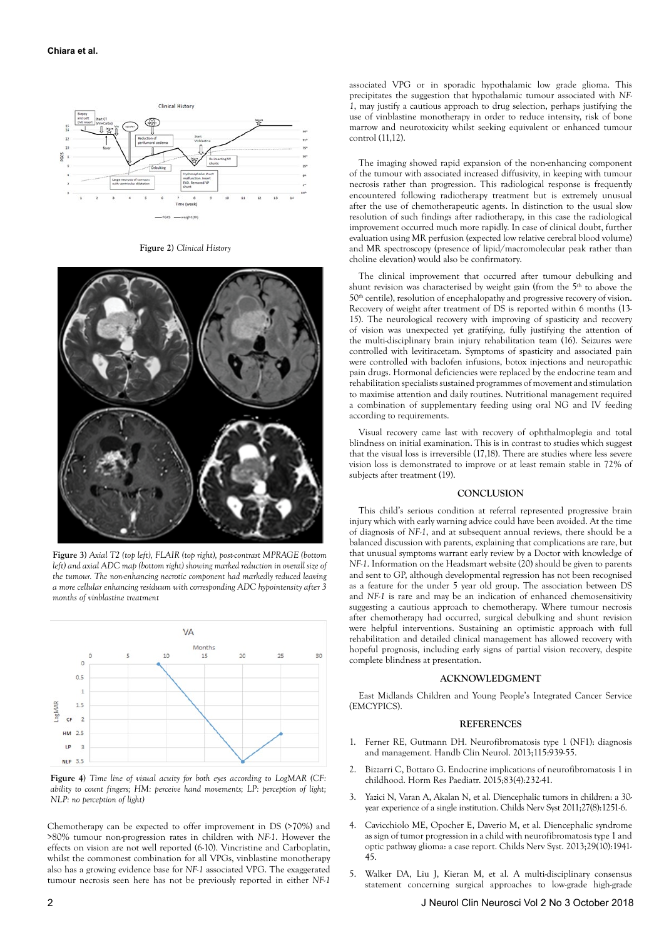

**Figure 2)** *Clinical History*



**Figure 3)** *Axial T2 (top left), FLAIR (top right), post-contrast MPRAGE (bottom*  left) and axial ADC map (bottom right) showing marked reduction in overall size of *the tumour. The non-enhancing necrotic component had markedly reduced leaving a more cellular enhancing residuum with corresponding ADC hypointensity after 3 months of vinblastine treatment*



**Figure 4)** *Time line of visual acuity for both eyes according to LogMAR (CF: ability to count fingers; HM: perceive hand movements; LP: perception of light; NLP: no perception of light)*

Chemotherapy can be expected to offer improvement in DS (>70%) and >80% tumour non-progression rates in children with *NF-1*. However the effects on vision are not well reported (6-10). Vincristine and Carboplatin, whilst the commonest combination for all VPGs, vinblastine monotherapy also has a growing evidence base for *NF-1* associated VPG. The exaggerated tumour necrosis seen here has not be previously reported in either *NF-1*

The imaging showed rapid expansion of the non-enhancing component of the tumour with associated increased diffusivity, in keeping with tumour necrosis rather than progression. This radiological response is frequently encountered following radiotherapy treatment but is extremely unusual after the use of chemotherapeutic agents. In distinction to the usual slow resolution of such findings after radiotherapy, in this case the radiological improvement occurred much more rapidly. In case of clinical doubt, further evaluation using MR perfusion (expected low relative cerebral blood volume) and MR spectroscopy (presence of lipid/macromolecular peak rather than choline elevation) would also be confirmatory.

The clinical improvement that occurred after tumour debulking and shunt revision was characterised by weight gain (from the 5<sup>th</sup> to above the 50th centile), resolution of encephalopathy and progressive recovery of vision. Recovery of weight after treatment of DS is reported within 6 months (13- 15). The neurological recovery with improving of spasticity and recovery of vision was unexpected yet gratifying, fully justifying the attention of the multi-disciplinary brain injury rehabilitation team (16). Seizures were controlled with levitiracetam. Symptoms of spasticity and associated pain were controlled with baclofen infusions, botox injections and neuropathic pain drugs. Hormonal deficiencies were replaced by the endocrine team and rehabilitation specialists sustained programmes of movement and stimulation to maximise attention and daily routines. Nutritional management required a combination of supplementary feeding using oral NG and IV feeding according to requirements.

Visual recovery came last with recovery of ophthalmoplegia and total blindness on initial examination. This is in contrast to studies which suggest that the visual loss is irreversible (17,18). There are studies where less severe vision loss is demonstrated to improve or at least remain stable in 72% of subjects after treatment (19).

### **CONCLUSION**

This child's serious condition at referral represented progressive brain injury which with early warning advice could have been avoided. At the time of diagnosis of *NF-1*, and at subsequent annual reviews, there should be a balanced discussion with parents, explaining that complications are rare, but that unusual symptoms warrant early review by a Doctor with knowledge of *NF-1*. Information on the Headsmart website (20) should be given to parents and sent to GP, although developmental regression has not been recognised as a feature for the under 5 year old group. The association between DS and *NF-1* is rare and may be an indication of enhanced chemosensitivity suggesting a cautious approach to chemotherapy. Where tumour necrosis after chemotherapy had occurred, surgical debulking and shunt revision were helpful interventions. Sustaining an optimistic approach with full rehabilitation and detailed clinical management has allowed recovery with hopeful prognosis, including early signs of partial vision recovery, despite complete blindness at presentation.

### **ACKNOWLEDGMENT**

East Midlands Children and Young People's Integrated Cancer Service (EMCYPICS).

#### **REFERENCES**

- 1. Ferner RE, Gutmann DH. Neurofibromatosis type 1 (NF1): diagnosis and management. Handb Clin Neurol. 2013;115:939-55.
- 2. Bizzarri C, Bottaro G. Endocrine implications of neurofibromatosis 1 in childhood. Horm Res Paediatr. 2015;83(4):232-41.
- 3. Yazici N, Varan A, Akalan N, et al. Diencephalic tumors in children: a 30 year experience of a single institution. Childs Nerv Syst 2011;27(8):1251-6.
- 4. Cavicchiolo ME, Opocher E, Daverio M, et al. Diencephalic syndrome as sign of tumor progression in a child with neurofibromatosis type 1 and optic pathway glioma: a case report. Childs Nerv Syst. 2013;29(10):1941- 45.
- 5. Walker DA, Liu J, Kieran M, et al. A multi-disciplinary consensus statement concerning surgical approaches to low-grade high-grade